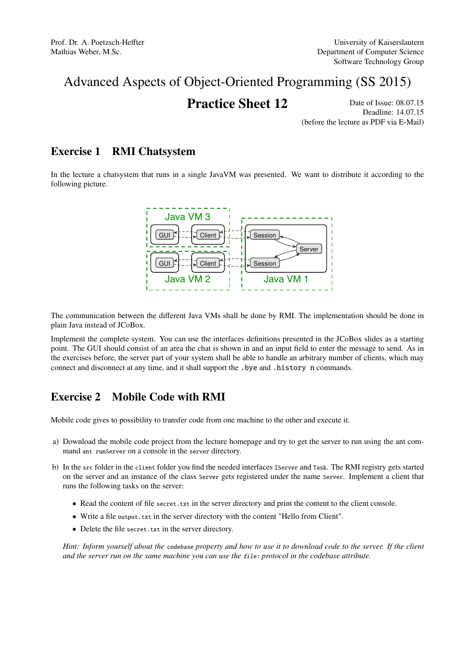# Advanced Aspects of Object-Oriented Programming (SS 2015)

# **Practice Sheet 12** Date of Issue: 08.07.15

Deadline: 14.07.15 (before the lecture as PDF via E-Mail)

#### Exercise 1 RMI Chatsystem

In the lecture a chatsystem that runs in a single JavaVM was presented. We want to distribute it according to the following picture.



void onChatMsg(Msg m); plain Java instead of JCoBox. The communication between the different Java VMs shall be done by RMI. The implementation should be done in

tem. You can use the interfaces definitions presented in the JC point. The GUI should consist of an area the chat is shown in and an input field to enter the message to send. As in the exercises before, the server part of your system shall be able to handle an arbitrary number of clients, which may Implement the complete system. You can use the interfaces definitions presented in the JCoBox slides as a starting connect and disconnect at any time, and it shall support the .bye and .history n commands.

### Exercise 2 Mobile Code with RMI

Mobile code gives to possibility to transfer code from one machine to the other and execute it.

- a) Download the mobile code project from the lecture homepage and try to get the server to run using the ant command ant runServer on a console in the server directory.
- b) In the src folder in the client folder you find the needed interfaces IServer and Task. The RMI registry gets started on the server and an instance of the class Server gets registered under the name Server. Implement a client that runs the following tasks on the server:
	- Read the content of file secret.txt in the server directory and print the content to the client console.
	- Write a file output.txt in the server directory with the content "Hello from Client".
	- Delete the file secret.txt in the server directory.

*Hint: Inform yourself about the* codebase *property and how to use it to download code to the server. If the client and the server run on the same machine you can use the* file: *protocol in the codebase attribute.*